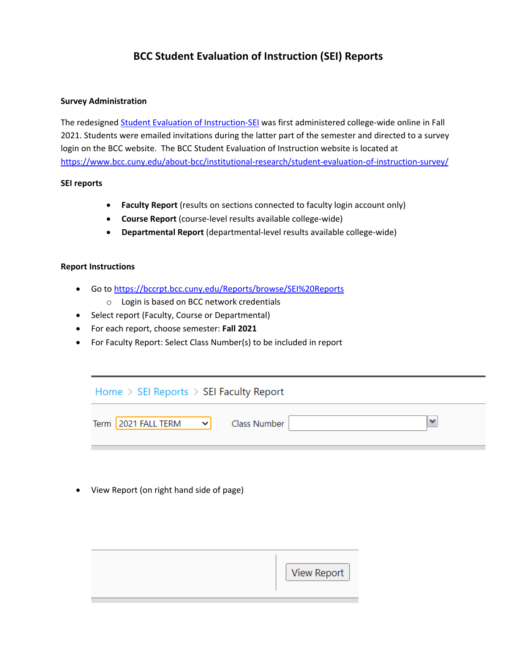# **BCC Student Evaluation of Instruction (SEI) Reports**

#### **Survey Administration**

The redesigned [Student Evaluation of Instruction-SEI](http://www.bcc.cuny.edu/wp-content/uploads/2022/01/bcc-student-evaluation-of-instruction_with_values.pdf) was first administered college-wide online in Fall 2021. Students were emailed invitations during the latter part of the semester and directed to a survey login on the BCC website. The BCC Student Evaluation of Instruction website is located at <https://www.bcc.cuny.edu/about-bcc/institutional-research/student-evaluation-of-instruction-survey/>

#### **SEI reports**

- **Faculty Report** (results on sections connected to faculty login account only)
- **Course Report** (course-level results available college-wide)
- **Departmental Report** (departmental-level results available college-wide)

#### **Report Instructions**

- Go to<https://bccrpt.bcc.cuny.edu/Reports/browse/SEI%20Reports>
	- o Login is based on BCC network credentials
- Select report (Faculty, Course or Departmental)
- For each report, choose semester: **Fall 2021**
- For Faculty Report: Select Class Number(s) to be included in report



• View Report (on right hand side of page)